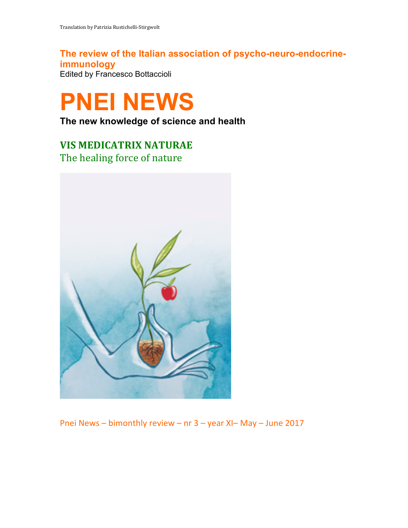**The review of the Italian association of psycho-neuro-endocrineimmunology** Edited by Francesco Bottaccioli



**The new knowledge of science and health**

## **VIS MEDICATRIX NATURAE** The healing force of nature



Pnei News – bimonthly review – nr  $3$  – year XI– May – June 2017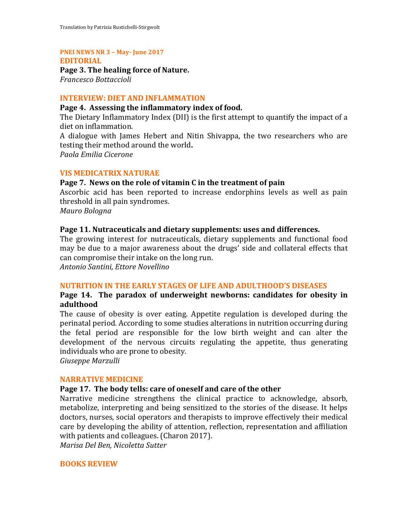### **PNEI NEWS NR 3 - May-June 2017**

#### **EDITORIAL**

Page 3. The healing force of Nature. *Francesco Bottaccioli*

#### **INTERVIEW: DIET AND INFLAMMATION**

#### Page 4. Assessing the inflammatory index of food.

The Dietary Inflammatory Index (DII) is the first attempt to quantify the impact of a diet on inflammation.

A dialogue with James Hebert and Nitin Shivappa, the two researchers who are testing their method around the world.

*Paola Emilia Cicerone*

#### **VIS MEDICATRIX NATURAE**

#### **Page 7.** News on the role of vitamin C in the treatment of pain

Ascorbic acid has been reported to increase endorphins levels as well as pain threshold in all pain syndromes.

*Mauro Bologna*

#### **Page 11. Nutraceuticals and dietary supplements: uses and differences.**

The growing interest for nutraceuticals, dietary supplements and functional food may be due to a major awareness about the drugs' side and collateral effects that can compromise their intake on the long run.

*Antonio Santini, Ettore Novellino*

#### **NUTRITION IN THE EARLY STAGES OF LIFE AND ADULTHOOD'S DISEASES**

#### Page 14. The paradox of underweight newborns: candidates for obesity in **adulthood**

The cause of obesity is over eating. Appetite regulation is developed during the perinatal period. According to some studies alterations in nutrition occurring during the fetal period are responsible for the low birth weight and can alter the development of the nervous circuits regulating the appetite, thus generating individuals who are prone to obesity.

*Giuseppe Marzulli*

### **NARRATIVE MEDICINE**

#### Page 17. The body tells: care of oneself and care of the other

Narrative medicine strengthens the clinical practice to acknowledge, absorb, metabolize, interpreting and being sensitized to the stories of the disease. It helps doctors, nurses, social operators and therapists to improve effectively their medical care by developing the ability of attention, reflection, representation and affiliation with patients and colleagues. (Charon 2017).

*Marisa Del Ben, Nicoletta Sutter*

#### **BOOKS REVIEW**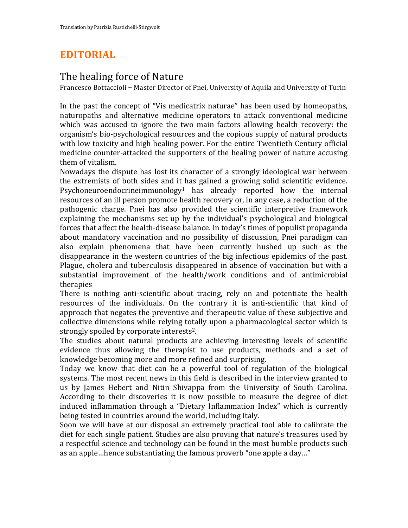# **EDITORIAL**

### The healing force of Nature

Francesco Bottaccioli – Master Director of Pnei, University of Aquila and University of Turin

In the past the concept of "Vis medicatrix naturae" has been used by homeopaths, naturopaths and alternative medicine operators to attack conventional medicine which was accused to ignore the two main factors allowing health recovery: the organism's bio-psychological resources and the copious supply of natural products with low toxicity and high healing power. For the entire Twentieth Century official medicine counter-attacked the supporters of the healing power of nature accusing them of vitalism.

Nowadays the dispute has lost its character of a strongly ideological war between the extremists of both sides and it has gained a growing solid scientific evidence. Psychoneuroendocrineimmunology<sup>1</sup> has already reported how the internal resources of an ill person promote health recovery or, in any case, a reduction of the pathogenic charge. Pnei has also provided the scientific interpretive framework explaining the mechanisms set up by the individual's psychological and biological forces that affect the health-disease balance. In today's times of populist propaganda about mandatory vaccination and no possibility of discussion, Pnei paradigm can also explain phenomena that have been currently hushed up such as the disappearance in the western countries of the big infectious epidemics of the past. Plague, cholera and tuberculosis disappeared in absence of vaccination but with a substantial improvement of the health/work conditions and of antimicrobial therapies

There is nothing anti-scientific about tracing, rely on and potentiate the health resources of the individuals. On the contrary it is anti-scientific that kind of approach that negates the preventive and therapeutic value of these subjective and collective dimensions while relying totally upon a pharmacological sector which is strongly spoiled by corporate interests<sup>2</sup>.

The studies about natural products are achieving interesting levels of scientific evidence thus allowing the therapist to use products, methods and a set of knowledge becoming more and more refined and surprising.

Today we know that diet can be a powerful tool of regulation of the biological systems. The most recent news in this field is described in the interview granted to us by James Hebert and Nitin Shivappa from the University of South Carolina. According to their discoveries it is now possible to measure the degree of diet induced inflammation through a "Dietary Inflammation Index" which is currently being tested in countries around the world, including Italy.

Soon we will have at our disposal an extremely practical tool able to calibrate the diet for each single patient. Studies are also proving that nature's treasures used by a respectful science and technology can be found in the most humble products such as an apple…hence substantiating the famous proverb "one apple a day..."